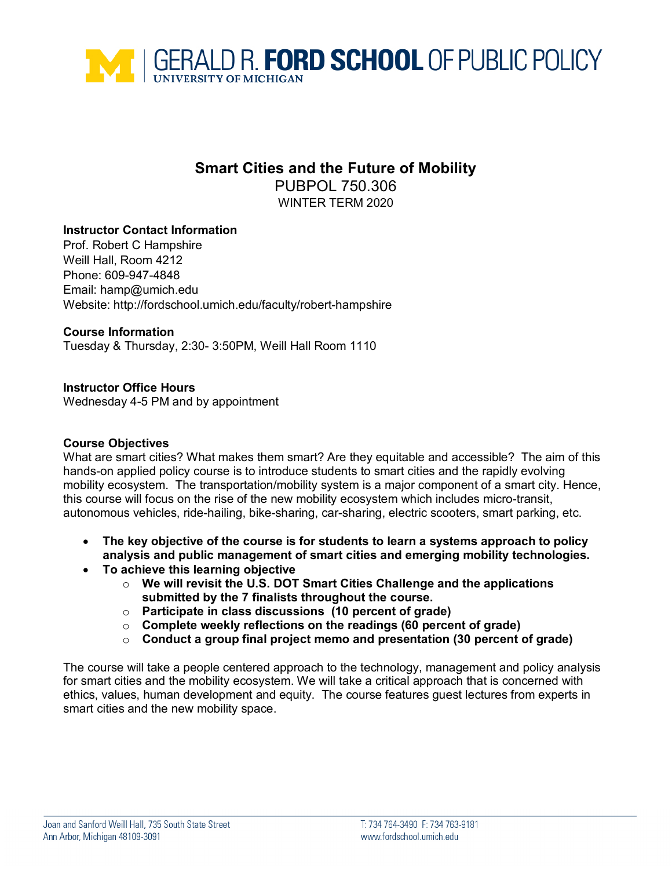

# **Smart Cities and the Future of Mobility**

PUBPOL 750.306 WINTER TERM 2020

# **Instructor Contact Information**

Prof. Robert C Hampshire Weill Hall, Room 4212 Phone: 609-947-4848 Email: [hamp@umich.edu](mailto:hamp@umich.edu) Website: http://fordschool.umich.edu/faculty/robert-hampshire

### **Course Information**

Tuesday & Thursday, 2:30- 3:50PM, Weill Hall Room 1110

# **Instructor Office Hours**

Wednesday 4-5 PM and by appointment

### **Course Objectives**

What are smart cities? What makes them smart? Are they equitable and accessible? The aim of this hands-on applied policy course is to introduce students to smart cities and the rapidly evolving mobility ecosystem. The transportation/mobility system is a major component of a smart city. Hence, this course will focus on the rise of the new mobility ecosystem which includes micro-transit, autonomous vehicles, ride-hailing, bike-sharing, car-sharing, electric scooters, smart parking, etc.

- **The key objective of the course is for students to learn a systems approach to policy analysis and public management of smart cities and emerging mobility technologies.**
- **To achieve this learning objective** 
	- o **We will revisit the U.S. DOT Smart Cities Challenge and the applications submitted by the 7 finalists throughout the course.**
	- o **Participate in class discussions (10 percent of grade)**
	- o **Complete weekly reflections on the readings (60 percent of grade)**
	- o **Conduct a group final project memo and presentation (30 percent of grade)**

The course will take a people centered approach to the technology, management and policy analysis for smart cities and the mobility ecosystem. We will take a critical approach that is concerned with ethics, values, human development and equity. The course features guest lectures from experts in smart cities and the new mobility space.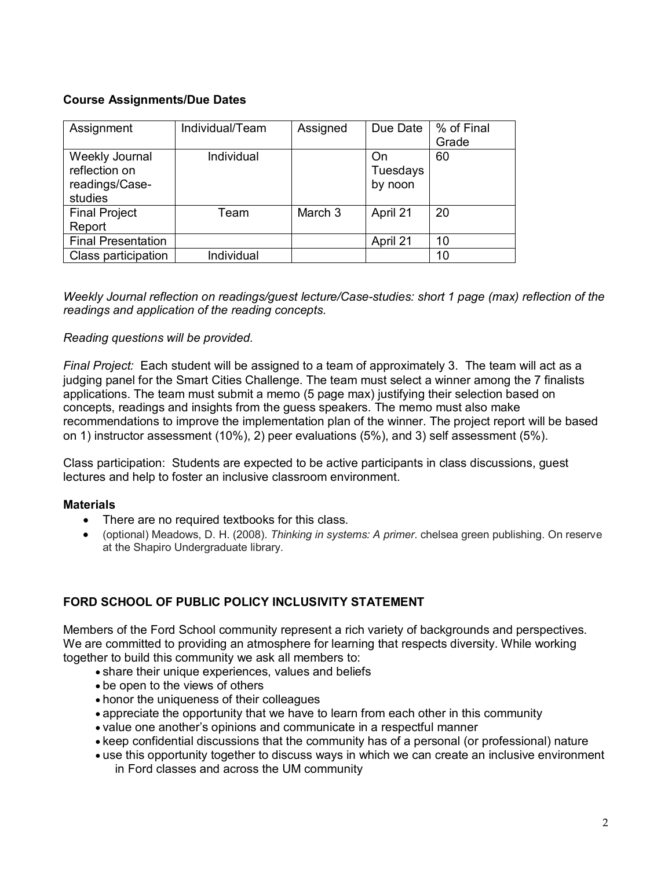# **Course Assignments/Due Dates**

| Assignment                                                   | Individual/Team | Assigned | Due Date                  | % of Final<br>Grade |
|--------------------------------------------------------------|-----------------|----------|---------------------------|---------------------|
| Weekly Journal<br>reflection on<br>readings/Case-<br>studies | Individual      |          | On<br>Tuesdays<br>by noon | 60                  |
| <b>Final Project</b><br>Report                               | Team            | March 3  | April 21                  | 20                  |
| <b>Final Presentation</b>                                    |                 |          | April 21                  | 10                  |
| Class participation                                          | Individual      |          |                           | 10                  |

*Weekly Journal reflection on readings/guest lecture/Case-studies: short 1 page (max) reflection of the readings and application of the reading concepts.* 

### *Reading questions will be provided.*

*Final Project:* Each student will be assigned to a team of approximately 3. The team will act as a judging panel for the Smart Cities Challenge. The team must select a winner among the 7 finalists applications. The team must submit a memo (5 page max) justifying their selection based on concepts, readings and insights from the guess speakers. The memo must also make recommendations to improve the implementation plan of the winner. The project report will be based on 1) instructor assessment (10%), 2) peer evaluations (5%), and 3) self assessment (5%).

Class participation: Students are expected to be active participants in class discussions, guest lectures and help to foster an inclusive classroom environment.

### **Materials**

- There are no required textbooks for this class.
- (optional) Meadows, D. H. (2008). *Thinking in systems: A primer*. chelsea green publishing. On reserve at the Shapiro Undergraduate library.

# **FORD SCHOOL OF PUBLIC POLICY INCLUSIVITY STATEMENT**

Members of the Ford School community represent a rich variety of backgrounds and perspectives. We are committed to providing an atmosphere for learning that respects diversity. While working together to build this community we ask all members to:

- share their unique experiences, values and beliefs
- be open to the views of others
- honor the uniqueness of their colleagues
- appreciate the opportunity that we have to learn from each other in this community
- value one another's opinions and communicate in a respectful manner
- keep confidential discussions that the community has of a personal (or professional) nature
- use this opportunity together to discuss ways in which we can create an inclusive environment in Ford classes and across the UM community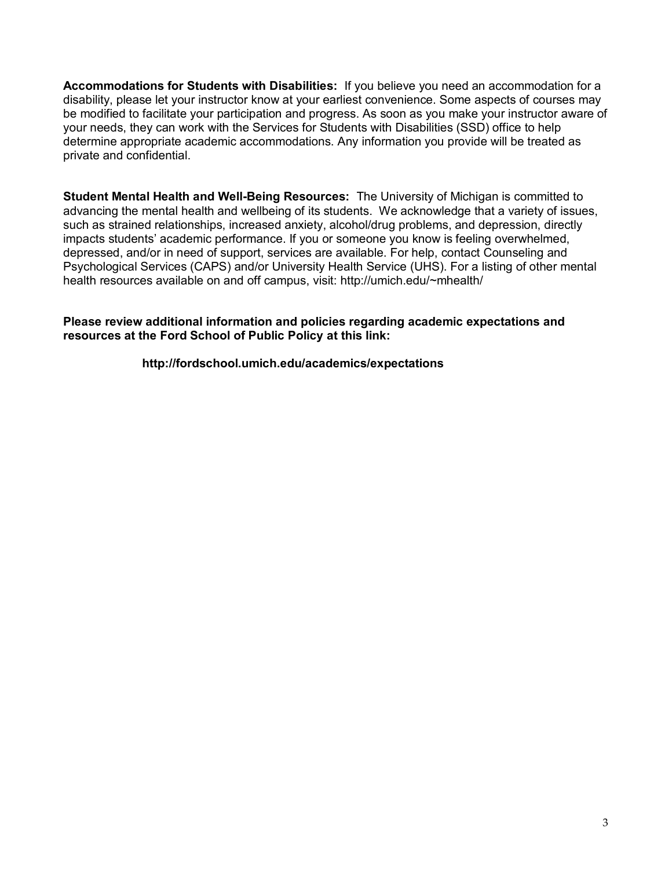**Accommodations for Students with Disabilities:** If you believe you need an accommodation for a disability, please let your instructor know at your earliest convenience. Some aspects of courses may be modified to facilitate your participation and progress. As soon as you make your instructor aware of your needs, they can work with the Services for Students with Disabilities (SSD) office to help determine appropriate academic accommodations. Any information you provide will be treated as private and confidential.

**Student Mental Health and Well-Being Resources:** The University of Michigan is committed to advancing the mental health and wellbeing of its students. We acknowledge that a variety of issues, such as strained relationships, increased anxiety, alcohol/drug problems, and depression, directly impacts students' academic performance. If you or someone you know is feeling overwhelmed, depressed, and/or in need of support, services are available. For help, contact [Counseling and](https://caps.umich.edu/)  [Psychological Services](https://caps.umich.edu/) (CAPS) and/or [University Health Service](https://www.uhs.umich.edu/mentalhealthsvcs) (UHS). For a listing of other mental health resources available on and off campus, visit: [http://umich.edu/~mhealth/](http://umich.edu/%7Emhealth/)

#### **Please review additional information and policies regarding academic expectations and resources at the Ford School of Public Policy at this link:**

# **<http://fordschool.umich.edu/academics/expectations>**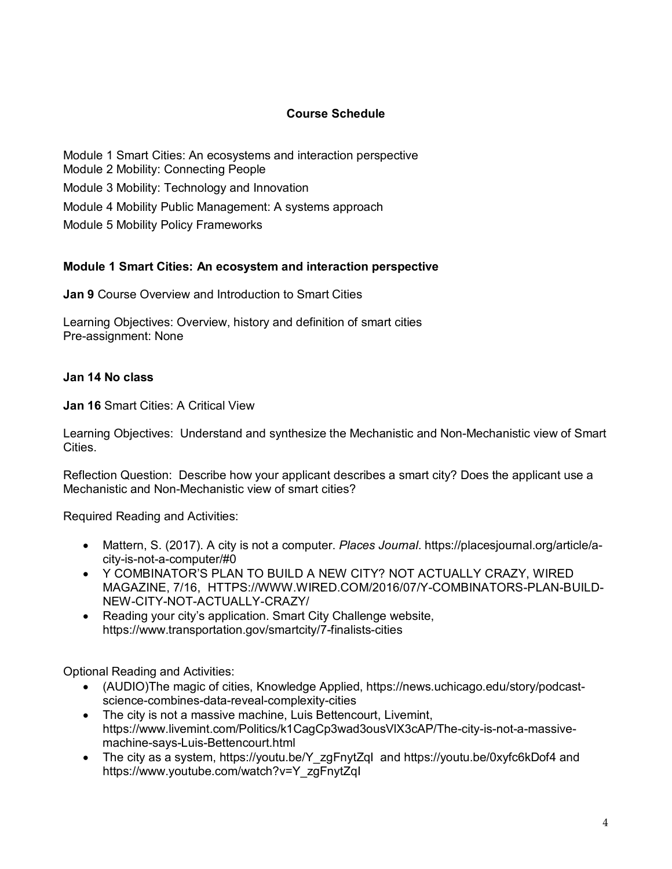# **Course Schedule**

Module 1 Smart Cities: An ecosystems and interaction perspective Module 2 Mobility: Connecting People Module 3 Mobility: Technology and Innovation Module 4 Mobility Public Management: A systems approach Module 5 Mobility Policy Frameworks

# **Module 1 Smart Cities: An ecosystem and interaction perspective**

**Jan 9** Course Overview and Introduction to Smart Cities

Learning Objectives: Overview, history and definition of smart cities Pre-assignment: None

### **Jan 14 No class**

**Jan 16** Smart Cities: A Critical View

Learning Objectives: Understand and synthesize the Mechanistic and Non-Mechanistic view of Smart Cities.

Reflection Question: Describe how your applicant describes a smart city? Does the applicant use a Mechanistic and Non-Mechanistic view of smart cities?

Required Reading and Activities:

- Mattern, S. (2017). A city is not a computer. *Places Journal*. [https://placesjournal.org/article/a](https://placesjournal.org/article/a-city-is-not-a-computer/#0)[city-is-not-a-computer/#0](https://placesjournal.org/article/a-city-is-not-a-computer/#0)
- Y COMBINATOR'S PLAN TO BUILD A NEW CITY? NOT ACTUALLY CRAZY, WIRED MAGAZINE, 7/16, [HTTPS://WWW.WIRED.COM/2016/07/Y-COMBINATORS-PLAN-BUILD-](https://www.wired.com/2016/07/y-combinators-plan-build-new-city-not-actually-crazy/)[NEW-CITY-NOT-ACTUALLY-CRAZY/](https://www.wired.com/2016/07/y-combinators-plan-build-new-city-not-actually-crazy/)
- Reading your city's application. Smart City Challenge website, https://www.transportation.gov/smartcity/7-finalists-cities

- (AUDIO)The magic of cities, Knowledge Applied, [https://news.uchicago.edu/story/podcast](https://news.uchicago.edu/story/podcast-science-combines-data-reveal-complexity-cities)[science-combines-data-reveal-complexity-cities](https://news.uchicago.edu/story/podcast-science-combines-data-reveal-complexity-cities)
- The city is not a massive machine, Luis Bettencourt, Livemint, [https://www.livemint.com/Politics/k1CagCp3wad3ousVlX3cAP/The-city-is-not-a-massive](https://www.livemint.com/Politics/k1CagCp3wad3ousVlX3cAP/The-city-is-not-a-massive-machine-says-Luis-Bettencourt.html)[machine-says-Luis-Bettencourt.html](https://www.livemint.com/Politics/k1CagCp3wad3ousVlX3cAP/The-city-is-not-a-massive-machine-says-Luis-Bettencourt.html)
- The city as a system, [https://youtu.be/Y\\_zgFnytZqI](https://youtu.be/Y_zgFnytZqI) and<https://youtu.be/0xyfc6kDof4> and https://www.youtube.com/watch?v=Y\_zgFnytZqI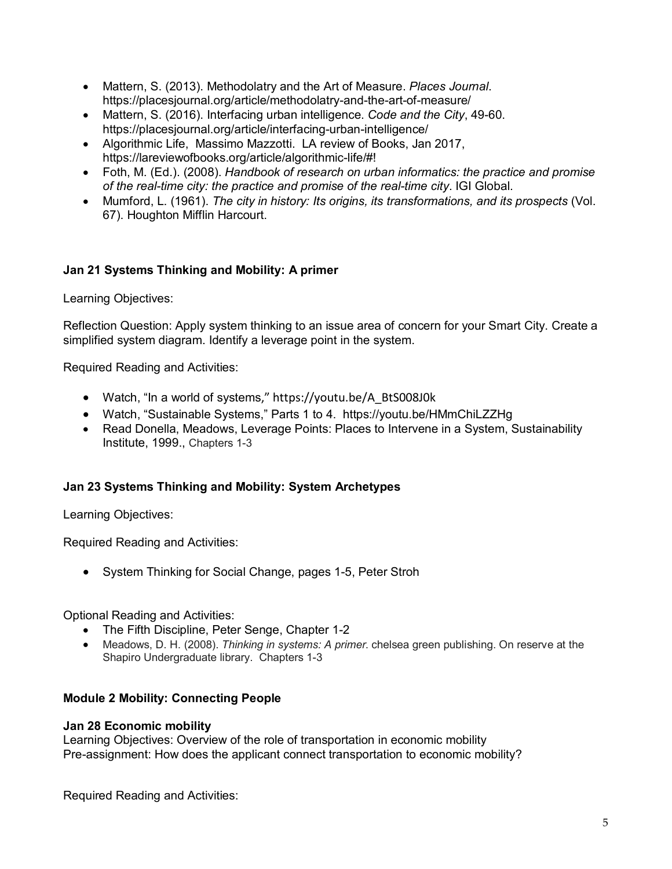- Mattern, S. (2013). Methodolatry and the Art of Measure. *Places Journal*. <https://placesjournal.org/article/methodolatry-and-the-art-of-measure/>
- Mattern, S. (2016). Interfacing urban intelligence. *Code and the City*, 49-60. <https://placesjournal.org/article/interfacing-urban-intelligence/>
- Algorithmic Life, Massimo Mazzotti. LA review of Books, Jan 2017, https://lareviewofbooks.org/article/algorithmic-life/#!
- Foth, M. (Ed.). (2008). *Handbook of research on urban informatics: the practice and promise of the real-time city: the practice and promise of the real-time city*. IGI Global.
- Mumford, L. (1961). *The city in history: Its origins, its transformations, and its prospects* (Vol. 67). Houghton Mifflin Harcourt.

# **Jan 21 Systems Thinking and Mobility: A primer**

Learning Objectives:

Reflection Question: Apply system thinking to an issue area of concern for your Smart City. Create a simplified system diagram. Identify a leverage point in the system.

Required Reading and Activities:

- Watch, "In a world of systems," https://youtu.be/A\_BtS008J0k
- Watch, "Sustainable Systems," Parts 1 to 4. <https://youtu.be/HMmChiLZZHg>
- Read Donella, Meadows, Leverage Points: Places to Intervene in a System, Sustainability Institute, 1999., Chapters 1-3

# **Jan 23 Systems Thinking and Mobility: System Archetypes**

Learning Objectives:

Required Reading and Activities:

• System Thinking for Social Change, pages 1-5, Peter Stroh

Optional Reading and Activities:

- The Fifth Discipline, Peter Senge, Chapter 1-2
- Meadows, D. H. (2008). *Thinking in systems: A primer*. chelsea green publishing. On reserve at the Shapiro Undergraduate library. Chapters 1-3

# **Module 2 Mobility: Connecting People**

### **Jan 28 Economic mobility**

Learning Objectives: Overview of the role of transportation in economic mobility Pre-assignment: How does the applicant connect transportation to economic mobility?

Required Reading and Activities: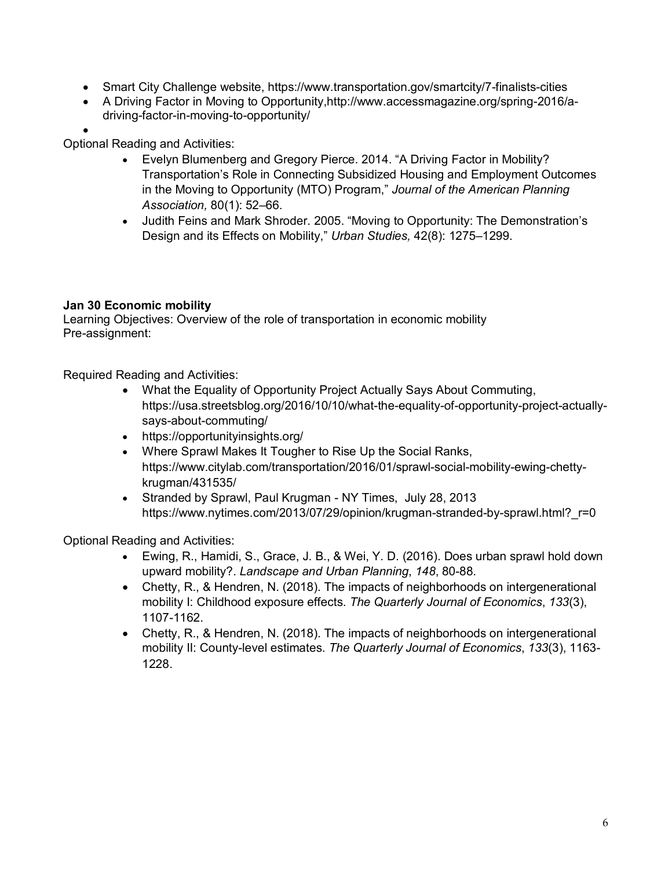- Smart City Challenge website, https://www.transportation.gov/smartcity/7-finalists-cities
- A Driving Factor in Moving to Opportunity,http://www.accessmagazine.org/spring-2016/adriving-factor-in-moving-to-opportunity/
- •

Optional Reading and Activities:

- [Evelyn Blumenberg and Gregory Pierce. 2014. "A Driving Factor in Mobility?](http://www.tandfonline.com/doi/abs/10.1080/01944363.2014.935267)  [Transportation's Role in Connecting Subsidized Housing and Employment Outcomes](http://www.tandfonline.com/doi/abs/10.1080/01944363.2014.935267)  [in the Moving to Opportunity \(MTO\) Program,"](http://www.tandfonline.com/doi/abs/10.1080/01944363.2014.935267) *Journal of the American Planning Association,* [80\(1\): 52–66.](http://www.tandfonline.com/doi/abs/10.1080/01944363.2014.935267)
- [Judith Feins and Mark Shroder. 2005. "Moving to Opportunity: The Demonstration's](http://usj.sagepub.com/content/42/8/1275.refs?patientinform-links=yes&legid=spusj;42/8/1275)  [Design and its Effects on Mobility,"](http://usj.sagepub.com/content/42/8/1275.refs?patientinform-links=yes&legid=spusj;42/8/1275) *Urban Studies,* 42(8): 1275–1299.

# **Jan 30 Economic mobility**

Learning Objectives: Overview of the role of transportation in economic mobility Pre-assignment:

Required Reading and Activities:

- What the Equality of Opportunity Project Actually Says About Commuting, [https://usa.streetsblog.org/2016/10/10/what-the-equality-of-opportunity-project-actually](https://usa.streetsblog.org/2016/10/10/what-the-equality-of-opportunity-project-actually-says-about-commuting/)[says-about-commuting/](https://usa.streetsblog.org/2016/10/10/what-the-equality-of-opportunity-project-actually-says-about-commuting/)
- <https://opportunityinsights.org/>
- Where Sprawl Makes It Tougher to Rise Up the Social Ranks, https://www.citylab.com/transportation/2016/01/sprawl-social-mobility-ewing-chettykrugman/431535/
- Stranded by Sprawl, Paul Krugman NY Times, July 28, 2013 https://www.nytimes.com/2013/07/29/opinion/krugman-stranded-by-sprawl.html? r=0

- Ewing, R., Hamidi, S., Grace, J. B., & Wei, Y. D. (2016). Does urban sprawl hold down upward mobility?. *Landscape and Urban Planning*, *148*, 80-88.
- Chetty, R., & Hendren, N. (2018). The impacts of neighborhoods on intergenerational mobility I: Childhood exposure effects. *The Quarterly Journal of Economics*, *133*(3), 1107-1162.
- Chetty, R., & Hendren, N. (2018). The impacts of neighborhoods on intergenerational mobility II: County-level estimates. *The Quarterly Journal of Economics*, *133*(3), 1163- 1228.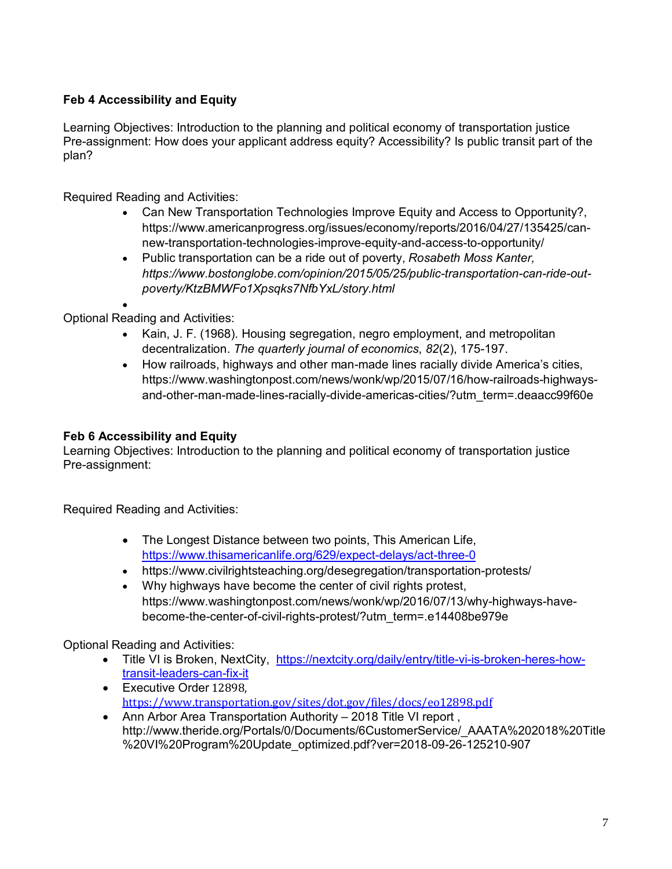# **Feb 4 Accessibility and Equity**

Learning Objectives: Introduction to the planning and political economy of transportation justice Pre-assignment: How does your applicant address equity? Accessibility? Is public transit part of the plan?

Required Reading and Activities:

- Can New Transportation Technologies Improve Equity and Access to Opportunity?, [https://www.americanprogress.org/issues/economy/reports/2016/04/27/135425/can](https://www.americanprogress.org/issues/economy/reports/2016/04/27/135425/can-new-transportation-technologies-improve-equity-and-access-to-opportunity/)[new-transportation-technologies-improve-equity-and-access-to-opportunity/](https://www.americanprogress.org/issues/economy/reports/2016/04/27/135425/can-new-transportation-technologies-improve-equity-and-access-to-opportunity/)
- Public transportation can be a ride out of poverty, *Rosabeth Moss Kanter, [https://www.bostonglobe.com/opinion/2015/05/25/public-transportation-can-ride-out](https://www.bostonglobe.com/opinion/2015/05/25/public-transportation-can-ride-out-poverty/KtzBMWFo1Xpsqks7NfbYxL/story.html)[poverty/KtzBMWFo1Xpsqks7NfbYxL/story.html](https://www.bostonglobe.com/opinion/2015/05/25/public-transportation-can-ride-out-poverty/KtzBMWFo1Xpsqks7NfbYxL/story.html)*

• Optional Reading and Activities:

- Kain, J. F. (1968). Housing segregation, negro employment, and metropolitan decentralization. *The quarterly journal of economics*, *82*(2), 175-197.
- How railroads, highways and other man-made lines racially divide America's cities, https://www.washingtonpost.com/news/wonk/wp/2015/07/16/how-railroads-highwaysand-other-man-made-lines-racially-divide-americas-cities/?utm\_term=.deaacc99f60e

# **Feb 6 Accessibility and Equity**

Learning Objectives: Introduction to the planning and political economy of transportation justice Pre-assignment:

Required Reading and Activities:

- The Longest Distance between two points, This American Life, <https://www.thisamericanlife.org/629/expect-delays/act-three-0>
- <https://www.civilrightsteaching.org/desegregation/transportation-protests/>
- Why highways have become the center of civil rights protest, [https://www.washingtonpost.com/news/wonk/wp/2016/07/13/why-highways-have](https://www.washingtonpost.com/news/wonk/wp/2016/07/13/why-highways-have-become-the-center-of-civil-rights-protest/?utm_term=.e14408be979e)[become-the-center-of-civil-rights-protest/?utm\\_term=.e14408be979e](https://www.washingtonpost.com/news/wonk/wp/2016/07/13/why-highways-have-become-the-center-of-civil-rights-protest/?utm_term=.e14408be979e)

- Title VI is Broken, NextCity, [https://nextcity.org/daily/entry/title-vi-is-broken-heres-how](https://nextcity.org/daily/entry/title-vi-is-broken-heres-how-transit-leaders-can-fix-it)[transit-leaders-can-fix-it](https://nextcity.org/daily/entry/title-vi-is-broken-heres-how-transit-leaders-can-fix-it)
- Executive Order 12898, <https://www.transportation.gov/sites/dot.gov/files/docs/eo12898.pdf>
- Ann Arbor Area Transportation Authority 2018 Title VI report, http://www.theride.org/Portals/0/Documents/6CustomerService/\_AAATA%202018%20Title %20VI%20Program%20Update\_optimized.pdf?ver=2018-09-26-125210-907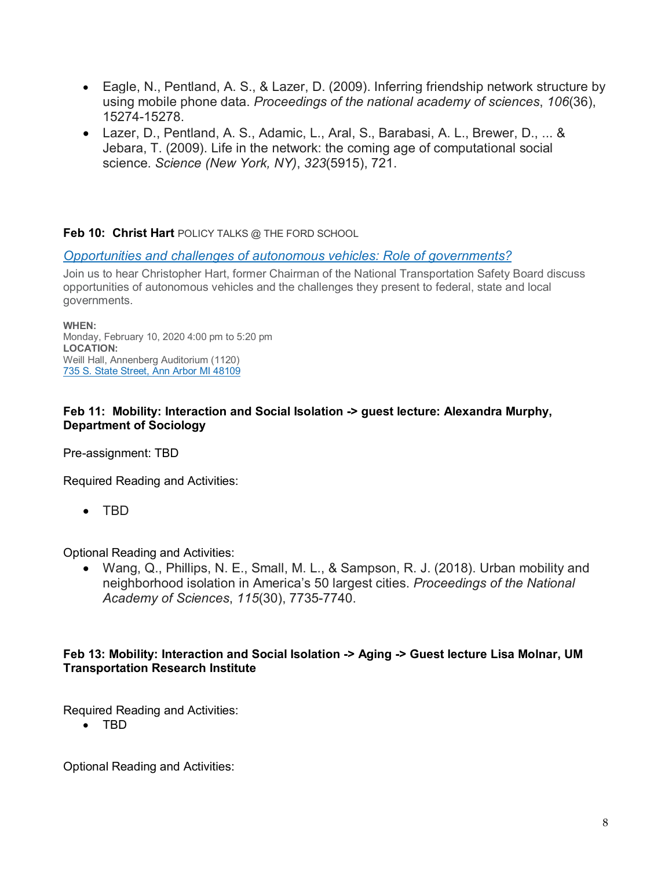- Eagle, N., Pentland, A. S., & Lazer, D. (2009). Inferring friendship network structure by using mobile phone data. *Proceedings of the national academy of sciences*, *106*(36), 15274-15278.
- Lazer, D., Pentland, A. S., Adamic, L., Aral, S., Barabasi, A. L., Brewer, D., ... & Jebara, T. (2009). Life in the network: the coming age of computational social science. *Science (New York, NY)*, *323*(5915), 721.

# **Feb 10: Christ Hart** POLICY TALKS @ THE FORD SCHOOL

### *[Opportunities and challenges of autonomous vehicles: Role of governments?](http://fordschool.umich.edu/events/2020/opportunities-and-challenges-autonomous-vehicles-role-governments)*

Join us to hear Christopher Hart, former Chairman of the National Transportation Safety Board discuss opportunities of autonomous vehicles and the challenges they present to federal, state and local governments.

**WHEN:** Monday, February 10, 2020 4:00 pm to 5:20 pm **LOCATION:** Weill Hall, Annenberg Auditorium (1120) [735 S. State Street, Ann Arbor MI 48109](http://www.google.com/maps/place/735+s.+state+street+ann+arbor+mi+48109)

# **Feb 11: Mobility: Interaction and Social Isolation -> guest lecture: Alexandra Murphy, Department of Sociology**

Pre-assignment: TBD

Required Reading and Activities:

• TBD

Optional Reading and Activities:

• Wang, Q., Phillips, N. E., Small, M. L., & Sampson, R. J. (2018). Urban mobility and neighborhood isolation in America's 50 largest cities. *Proceedings of the National Academy of Sciences*, *115*(30), 7735-7740.

### **Feb 13: Mobility: Interaction and Social Isolation -> Aging -> Guest lecture Lisa Molnar, UM Transportation Research Institute**

Required Reading and Activities:

• TBD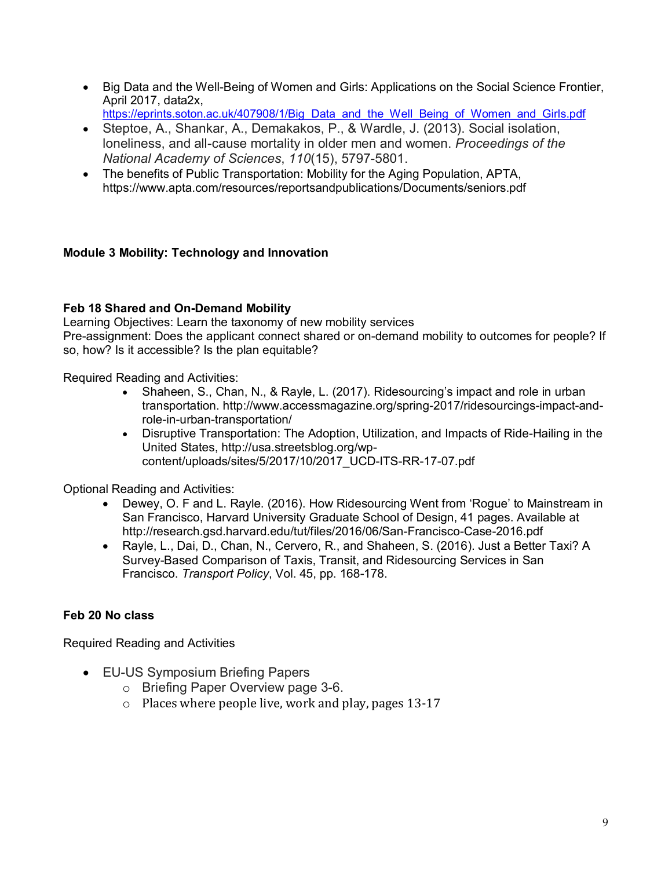- Big Data and the Well-Being of Women and Girls: Applications on the Social Science Frontier, April 2017, data2x,
	- [https://eprints.soton.ac.uk/407908/1/Big\\_Data\\_and\\_the\\_Well\\_Being\\_of\\_Women\\_and\\_Girls.pdf](https://eprints.soton.ac.uk/407908/1/Big_Data_and_the_Well_Being_of_Women_and_Girls.pdf)
- Steptoe, A., Shankar, A., Demakakos, P., & Wardle, J. (2013). Social isolation, loneliness, and all-cause mortality in older men and women. *Proceedings of the National Academy of Sciences*, *110*(15), 5797-5801.
- The benefits of Public Transportation: Mobility for the Aging Population, APTA, https://www.apta.com/resources/reportsandpublications/Documents/seniors.pdf

# **Module 3 Mobility: Technology and Innovation**

# **Feb 18 Shared and On-Demand Mobility**

Learning Objectives: Learn the taxonomy of new mobility services Pre-assignment: Does the applicant connect shared or on-demand mobility to outcomes for people? If so, how? Is it accessible? Is the plan equitable?

Required Reading and Activities:

- Shaheen, S., Chan, N., & Rayle, L. (2017). Ridesourcing's impact and role in urban transportation. [http://www.accessmagazine.org/spring-2017/ridesourcings-impact-and](http://www.accessmagazine.org/spring-2017/ridesourcings-impact-and-role-in-urban-transportation/)[role-in-urban-transportation/](http://www.accessmagazine.org/spring-2017/ridesourcings-impact-and-role-in-urban-transportation/)
- Disruptive Transportation: The Adoption, Utilization, and Impacts of Ride-Hailing in the United States, [http://usa.streetsblog.org/wp](http://usa.streetsblog.org/wp-content/uploads/sites/5/2017/10/2017_UCD-ITS-RR-17-07.pdf)[content/uploads/sites/5/2017/10/2017\\_UCD-ITS-RR-17-07.pdf](http://usa.streetsblog.org/wp-content/uploads/sites/5/2017/10/2017_UCD-ITS-RR-17-07.pdf)

Optional Reading and Activities:

- Dewey, O. F and L. Rayle. (2016). How Ridesourcing Went from 'Rogue' to Mainstream in San Francisco, Harvard University Graduate School of Design, 41 pages. Available at <http://research.gsd.harvard.edu/tut/files/2016/06/San-Francisco-Case-2016.pdf>
- Rayle, L., Dai, D., Chan, N., Cervero, R., and Shaheen, S. (2016). Just a Better Taxi? A Survey-Based Comparison of Taxis, Transit, and Ridesourcing Services in San Francisco. *Transport Policy*, Vol. 45, pp. 168-178.

# **Feb 20 No class**

Required Reading and Activities

- EU-US Symposium Briefing Papers
	- o Briefing Paper Overview page 3-6.
	- o Places where people live, work and play, pages 13-17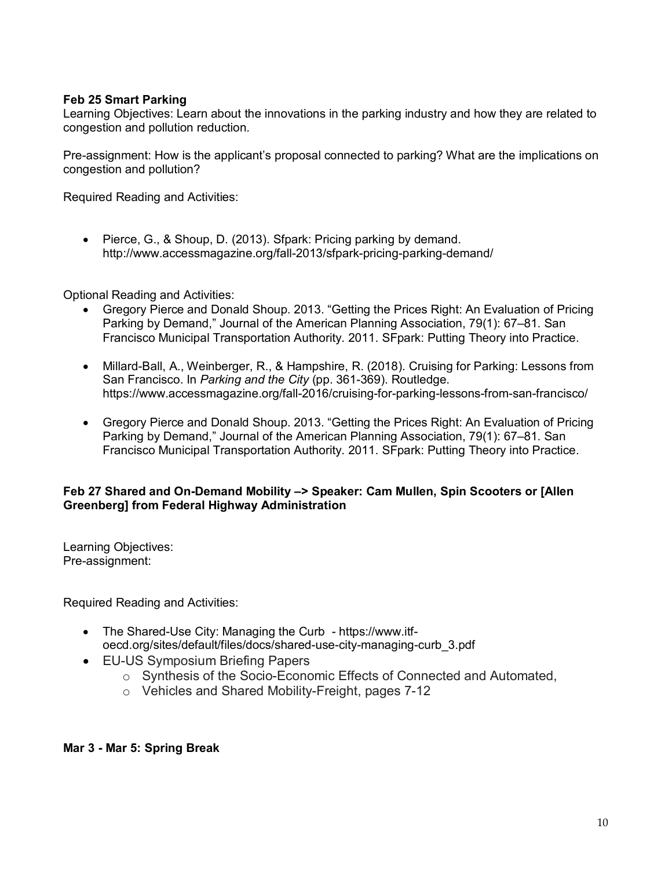# **Feb 25 Smart Parking**

Learning Objectives: Learn about the innovations in the parking industry and how they are related to congestion and pollution reduction.

Pre-assignment: How is the applicant's proposal connected to parking? What are the implications on congestion and pollution?

Required Reading and Activities:

• Pierce, G., & Shoup, D. (2013). Sfpark: Pricing parking by demand. <http://www.accessmagazine.org/fall-2013/sfpark-pricing-parking-demand/>

Optional Reading and Activities:

- Gregory Pierce and Donald Shoup. 2013. "Getting the Prices Right: An Evaluation of Pricing Parking by Demand," Journal of the American Planning Association, 79(1): 67–81. San Francisco Municipal Transportation Authority. 2011. SFpark: Putting Theory into Practice.
- Millard-Ball, A., Weinberger, R., & Hampshire, R. (2018). Cruising for Parking: Lessons from San Francisco. In *Parking and the City* (pp. 361-369). Routledge. https://www.accessmagazine.org/fall-2016/cruising-for-parking-lessons-from-san-francisco/
- Gregory Pierce and Donald Shoup. 2013. "Getting the Prices Right: An Evaluation of Pricing Parking by Demand," Journal of the American Planning Association, 79(1): 67–81. San Francisco Municipal Transportation Authority. 2011. SFpark: Putting Theory into Practice.

### **Feb 27 Shared and On-Demand Mobility –> Speaker: Cam Mullen, Spin Scooters or [Allen Greenberg] from Federal Highway Administration**

Learning Objectives: Pre-assignment:

Required Reading and Activities:

- The Shared-Use City: Managing the Curb [https://www.itf](https://www.itf-oecd.org/sites/default/files/docs/shared-use-city-managing-curb_3.pdf)[oecd.org/sites/default/files/docs/shared-use-city-managing-curb\\_3.pdf](https://www.itf-oecd.org/sites/default/files/docs/shared-use-city-managing-curb_3.pdf)
- EU-US Symposium Briefing Papers
	- o Synthesis of the Socio-Economic Effects of Connected and Automated,
	- o Vehicles and Shared Mobility-Freight, pages 7-12

### **Mar 3 - Mar 5: Spring Break**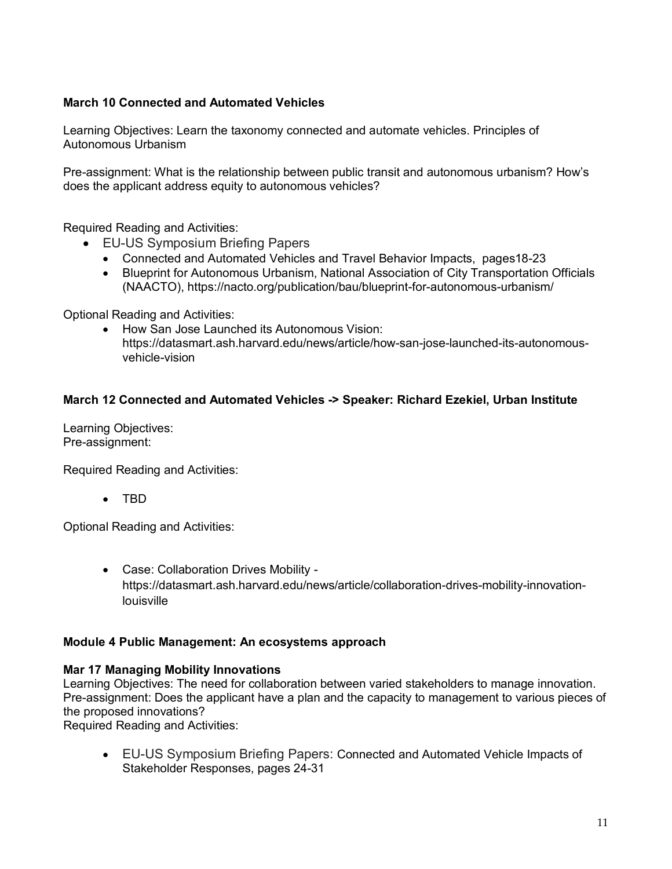# **March 10 Connected and Automated Vehicles**

Learning Objectives: Learn the taxonomy connected and automate vehicles. Principles of Autonomous Urbanism

Pre-assignment: What is the relationship between public transit and autonomous urbanism? How's does the applicant address equity to autonomous vehicles?

Required Reading and Activities:

- EU-US Symposium Briefing Papers
	- Connected and Automated Vehicles and Travel Behavior Impacts, pages18-23
	- Blueprint for Autonomous Urbanism, National Association of City Transportation Officials (NAACTO),<https://nacto.org/publication/bau/blueprint-for-autonomous-urbanism/>

Optional Reading and Activities:

• How San Jose Launched its Autonomous Vision: https://datasmart.ash.harvard.edu/news/article/how-san-jose-launched-its-autonomousvehicle-vision

### **March 12 Connected and Automated Vehicles -> Speaker: Richard Ezekiel, Urban Institute**

Learning Objectives: Pre-assignment:

Required Reading and Activities:

• TBD

Optional Reading and Activities:

• Case: Collaboration Drives Mobility https://datasmart.ash.harvard.edu/news/article/collaboration-drives-mobility-innovationlouisville

### **Module 4 Public Management: An ecosystems approach**

### **Mar 17 Managing Mobility Innovations**

Learning Objectives: The need for collaboration between varied stakeholders to manage innovation. Pre-assignment: Does the applicant have a plan and the capacity to management to various pieces of the proposed innovations?

Required Reading and Activities:

• EU-US Symposium Briefing Papers: Connected and Automated Vehicle Impacts of Stakeholder Responses, pages 24-31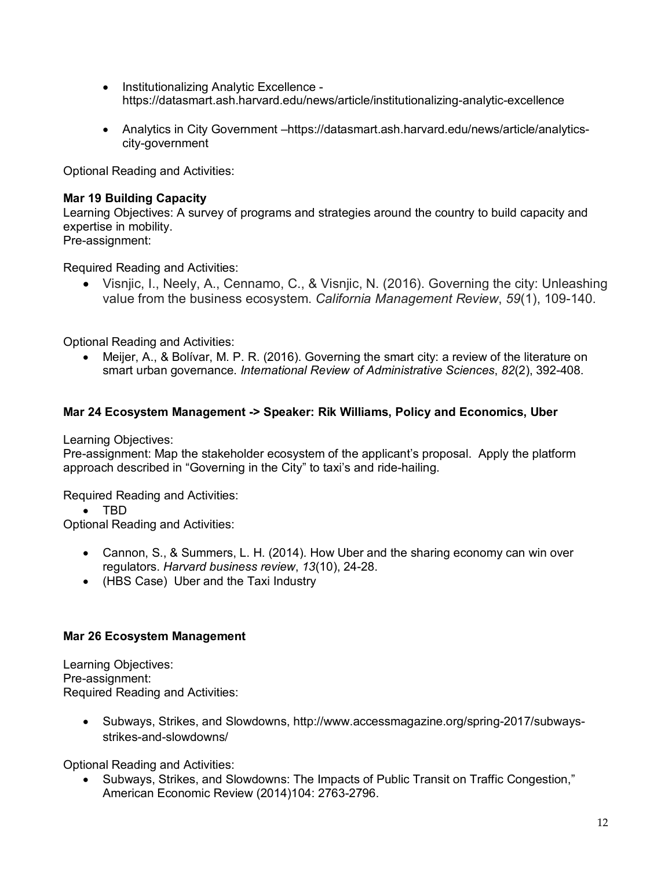- Institutionalizing Analytic Excellence https://datasmart.ash.harvard.edu/news/article/institutionalizing-analytic-excellence
- Analytics in City Government –https://datasmart.ash.harvard.edu/news/article/analyticscity-government

Optional Reading and Activities:

### **Mar 19 Building Capacity**

Learning Objectives: A survey of programs and strategies around the country to build capacity and expertise in mobility. Pre-assignment:

Required Reading and Activities:

• Visnjic, I., Neely, A., Cennamo, C., & Visnjic, N. (2016). Governing the city: Unleashing value from the business ecosystem. *California Management Review*, *59*(1), 109-140.

Optional Reading and Activities:

• Meijer, A., & Bolívar, M. P. R. (2016). Governing the smart city: a review of the literature on smart urban governance. *International Review of Administrative Sciences*, *82*(2), 392-408.

# **Mar 24 Ecosystem Management -> Speaker: Rik Williams, Policy and Economics, Uber**

Learning Objectives:

Pre-assignment: Map the stakeholder ecosystem of the applicant's proposal. Apply the platform approach described in "Governing in the City" to taxi's and ride-hailing.

Required Reading and Activities:

• TBD

Optional Reading and Activities:

- Cannon, S., & Summers, L. H. (2014). How Uber and the sharing economy can win over regulators. *Harvard business review*, *13*(10), 24-28.
- (HBS Case) Uber and the Taxi Industry

### **Mar 26 Ecosystem Management**

Learning Objectives: Pre-assignment: Required Reading and Activities:

> • Subways, Strikes, and Slowdowns, [http://www.accessmagazine.org/spring-2017/subways](http://www.accessmagazine.org/spring-2017/subways-strikes-and-slowdowns/)[strikes-and-slowdowns/](http://www.accessmagazine.org/spring-2017/subways-strikes-and-slowdowns/)

Optional Reading and Activities:

• Subways, Strikes, and Slowdowns: The Impacts of Public Transit on Traffic Congestion," American Economic Review (2014)104: 2763-2796.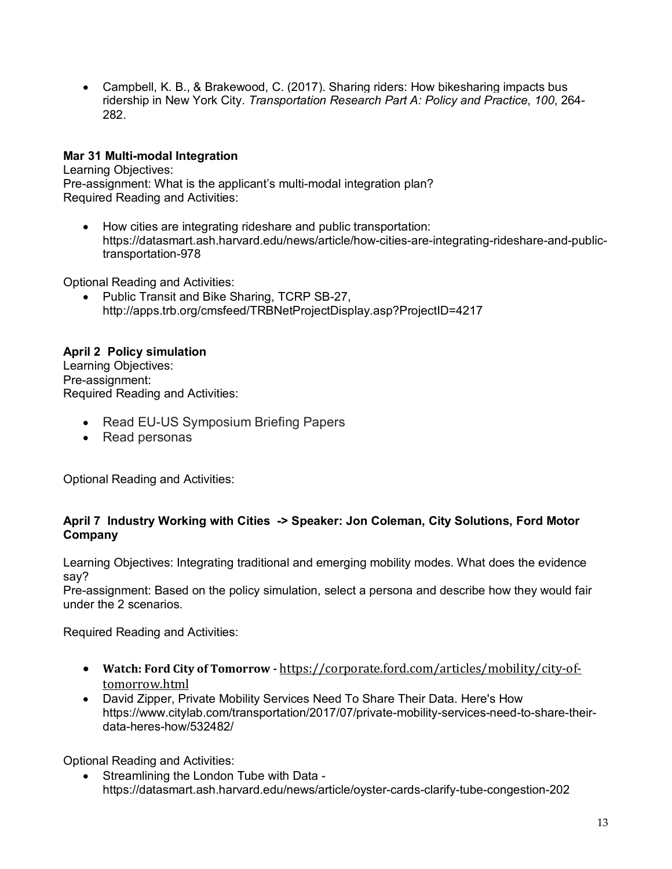• Campbell, K. B., & Brakewood, C. (2017). Sharing riders: How bikesharing impacts bus ridership in New York City. *Transportation Research Part A: Policy and Practice*, *100*, 264- 282.

# **Mar 31 Multi-modal Integration**

Learning Objectives: Pre-assignment: What is the applicant's multi-modal integration plan? Required Reading and Activities:

• How cities are integrating rideshare and public transportation: https://datasmart.ash.harvard.edu/news/article/how-cities-are-integrating-rideshare-and-publictransportation-978

Optional Reading and Activities:

• Public Transit and Bike Sharing, TCRP SB-27, http://apps.trb.org/cmsfeed/TRBNetProjectDisplay.asp?ProjectID=4217

# **April 2 Policy simulation**

Learning Objectives: Pre-assignment: Required Reading and Activities:

- Read EU-US Symposium Briefing Papers
- Read personas

Optional Reading and Activities:

# **April 7 Industry Working with Cities -> Speaker: Jon Coleman, City Solutions, Ford Motor Company**

Learning Objectives: Integrating traditional and emerging mobility modes. What does the evidence say?

Pre-assignment: Based on the policy simulation, select a persona and describe how they would fair under the 2 scenarios.

Required Reading and Activities:

- **Watch: Ford City of Tomorrow -** [https://corporate.ford.com/articles/mobility/city-of](https://corporate.ford.com/articles/mobility/city-of-tomorrow.html)[tomorrow.html](https://corporate.ford.com/articles/mobility/city-of-tomorrow.html)
- David Zipper, Private Mobility Services Need To Share Their Data. Here's How [https://www.citylab.com/transportation/2017/07/private-mobility-services-need-to-share-their](https://www.citylab.com/transportation/2017/07/private-mobility-services-need-to-share-their-data-heres-how/532482/)[data-heres-how/532482/](https://www.citylab.com/transportation/2017/07/private-mobility-services-need-to-share-their-data-heres-how/532482/)

Optional Reading and Activities:

• Streamlining the London Tube with Data <https://datasmart.ash.harvard.edu/news/article/oyster-cards-clarify-tube-congestion-202>